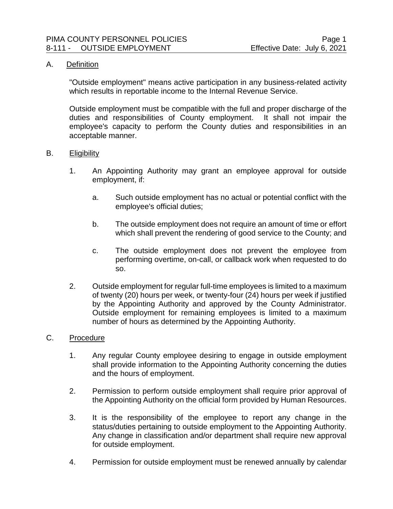# A. Definition

"Outside employment" means active participation in any business-related activity which results in reportable income to the Internal Revenue Service.

Outside employment must be compatible with the full and proper discharge of the duties and responsibilities of County employment. It shall not impair the employee's capacity to perform the County duties and responsibilities in an acceptable manner.

## B. Eligibility

- 1. An Appointing Authority may grant an employee approval for outside employment, if:
	- a. Such outside employment has no actual or potential conflict with the employee's official duties;
	- b. The outside employment does not require an amount of time or effort which shall prevent the rendering of good service to the County; and
	- c. The outside employment does not prevent the employee from performing overtime, on-call, or callback work when requested to do so.
- 2. Outside employment for regular full-time employees is limited to a maximum of twenty (20) hours per week, or twenty-four (24) hours per week if justified by the Appointing Authority and approved by the County Administrator. Outside employment for remaining employees is limited to a maximum number of hours as determined by the Appointing Authority.

## C. Procedure

- 1. Any regular County employee desiring to engage in outside employment shall provide information to the Appointing Authority concerning the duties and the hours of employment.
- 2. Permission to perform outside employment shall require prior approval of the Appointing Authority on the official form provided by Human Resources.
- 3. It is the responsibility of the employee to report any change in the status/duties pertaining to outside employment to the Appointing Authority. Any change in classification and/or department shall require new approval for outside employment.
- 4. Permission for outside employment must be renewed annually by calendar